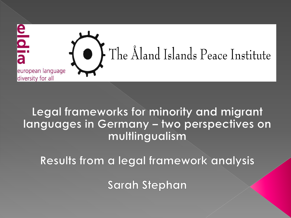

### Legal frameworks for minority and migrant Ianguages in Germany - two perspectives on multlingualism

Results from a legal framework analysis

**Sarah Stephan**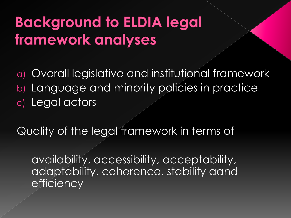## **Background to ELDIA legal** framework analyses

a) Overall legislative and institutional framework b) Language and minority policies in practice c) Legal actors

Quality of the legal framework in terms of

availability, accessibility, acceptability, adaptability, coherence, stability aand **efficiency**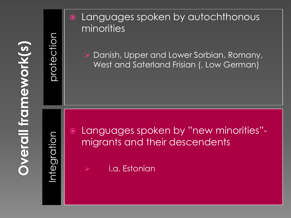**Overall framework(s)** 

protection

### Languages spoken by autochthonous minorities

 Danish, Upper and Lower Sorbian. Romany, West and Saterland Frisian (, Low German)

Integrati

 Languages spoken by "new minorities" migrants and their descendents

i.a. Estonian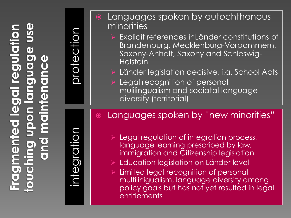integration

protection

- Languages spoken by autochthonous minorities Explicit references inLänder constitutions of Brandenburg, Mecklenburg-Vorpommern, Saxony-Anhalt, Saxony and Schleswig-Holstein Länder legislation decisive, i.a. School Acts Legal recognition of personal mulilingualism and sociatal language diversity (territorial) Languages spoken by "new minorities" Legal regulation of integration process, language learning prescribed by law, immigration and Citizenship legislation Education legislation on Länder level
	- Limited legal recognition of personal multilinigualism, language diversity among policy goals but has not yet resulted in legal **entitlements**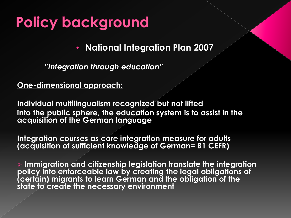## **Policy background**

• **National Integration Plan 2007**

*"Integration through education"* 

#### **One-dimensional approach:**

**Individual multilingualism recognized but not lifted into the public sphere, the education system is to assist in the acquisition of the German language** 

**Integration courses as core integration measure for adults (acquisition of sufficient knowledge of German= B1 CEFR)**

 **Immigration and citizenship legislation translate the integration policy into enforceable law by creating the legal obligations of (certain) migrants to learn German and the obligation of the state to create the necessary environment**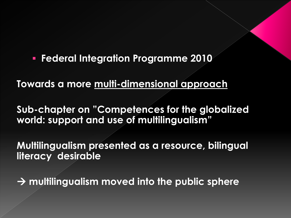**Federal Integration Programme 2010**

**Towards a more multi-dimensional approach** 

**Sub-chapter on "Competences for the globalized world: support and use of multilingualism"** 

**Multilingualism presented as a resource, bilingual literacy desirable**

**multilingualism moved into the public sphere**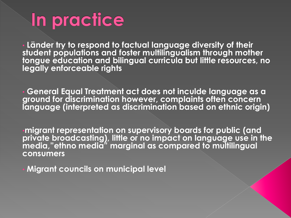# In practice

• **Länder try to respond to factual language diversity of their student populations and foster multilingualism through mother tongue education and bilingual curricula but little resources, no legally enforceable rights**

• **General Equal Treatment act does not inculde language as a ground for discrimination however, complaints often concern language (interpreted as discrimination based on ethnic origin)**

•**migrant representation on supervisory boards for public (and private broadcasting), little or no impact on language use in the media,"ethno media" marginal as compared to multilingual consumers**

• **Migrant councils on municipal level**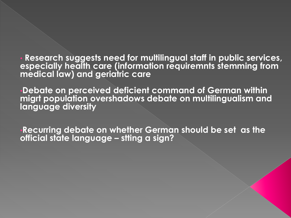• **Research suggests need for multilingual staff in public services, especially health care (information requiremnts stemming from medical law) and geriatric care**

•**Debate on perceived deficient command of German within migrt population overshadows debate on multilingualism and language diversity**

•**Recurring debate on whether German should be set as the official state language – stting a sign?**